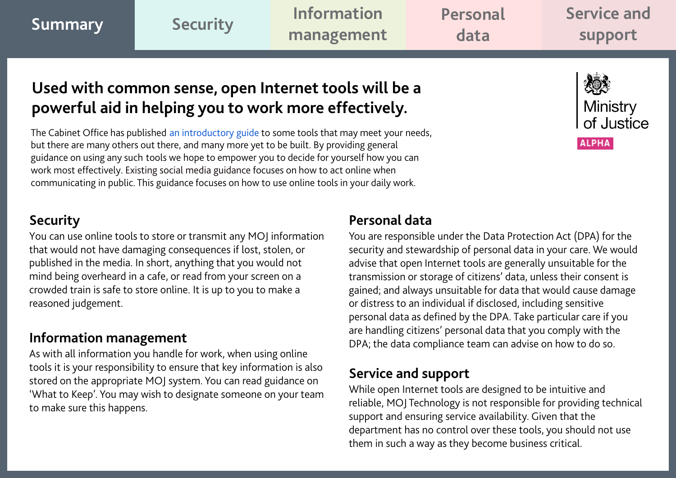<span id="page-0-0"></span>

| /Summary | <b>Security</b> | <b>Information</b> | Personal | Service and |
|----------|-----------------|--------------------|----------|-------------|
|          |                 | management         | data     | support     |
|          |                 |                    |          |             |

# **Used with common sense, open Internet tools will be a powerful aid in helping you to work more effectively.**

The Cabinet Office has published [an introductory guide](https://www.gov.uk/government/publications/digital-skills-in-the-civil-service/an-introductory-guide-to-open-internet-tools-for-civil-servants) to some tools that may meet your needs, but there are many others out there, and many more yet to be built. By providing general guidance on using any such tools we hope to empower you to decide for yourself how you can work most effectively. Existing social media guidance focuses on how to act online when communicating in public. This guidance focuses on how to use online tools in your daily work.

## **Security**

You can use online tools to store or transmit any MOJ information that would not have damaging consequences if lost, stolen, or published in the media. In short, anything that you would not mind being overheard in a cafe, or read from your screen on a crowded train is safe to store online. It is up to you to make a reasoned judgement.

## **Information management**

As with all information you handle for work, when using online tools it is your responsibility to ensure that key information is also stored on the appropriate MOJ system. You can read guidance on 'What to Keep'. You may wish to designate someone on your team to make sure this happens.

## **Personal data**

You are responsible under the Data Protection Act (DPA) for the security and stewardship of personal data in your care. We would advise that open Internet tools are generally unsuitable for the transmission or storage of citizens' data, unless their consent is gained; and always unsuitable for data that would cause damage or distress to an individual if disclosed, including sensitive personal data as defined by the DPA. Take particular care if you are handling citizens' personal data that you comply with the DPA; the data compliance team can advise on how to do so.

## **Service and support**

While open Internet tools are designed to be intuitive and reliable, MOJ Technology is not responsible for providing technical support and ensuring service availability. Given that the department has no control over these tools, you should not use them in such a way as they become business critical.

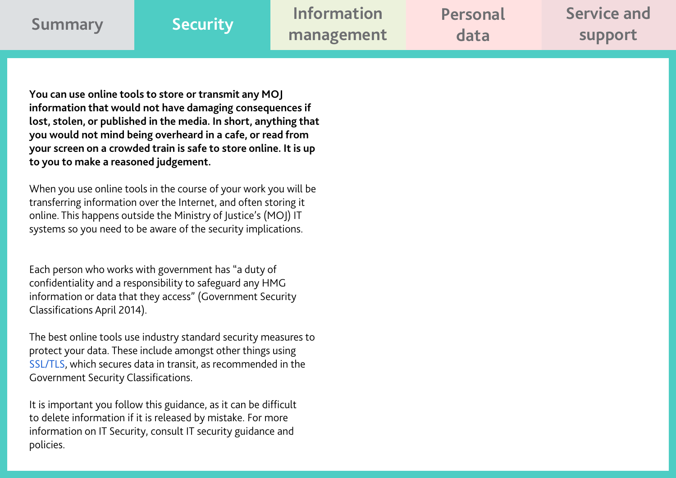<span id="page-1-0"></span>

| Summary | <b>Security</b> | <b>Information</b> | Personal | Service and |
|---------|-----------------|--------------------|----------|-------------|
|         |                 | management         | data     | support     |

**You can use online tools to store or transmit any MOJ information that would not have damaging consequences if lost, stolen, or published in the media. In short, anything that you would not mind being overheard in a cafe, or read from your screen on a crowded train is safe to store online. It is up to you to make a reasoned judgement.** 

When you use online tools in the course of your work you will be transferring information over the Internet, and often storing it online. This happens outside the Ministry of Justice's (MOJ) IT systems so you need to be aware of the security implications.

Each person who works with government has "a duty of confidentiality and a responsibility to safeguard any HMG information or data that they access" (Government Security Classifications April 2014).

The best online tools use industry standard security measures to protect your data. These include amongst other things using [SSL/TLS,](http://en.wikipedia.org/wiki/Secure_Sockets_Layer) which secures data in transit, as recommended in the Government Security Classifications.

It is important you follow this guidance, as it can be difficult to delete information if it is released by mistake. For more information on IT Security, consult IT security guidance and policies.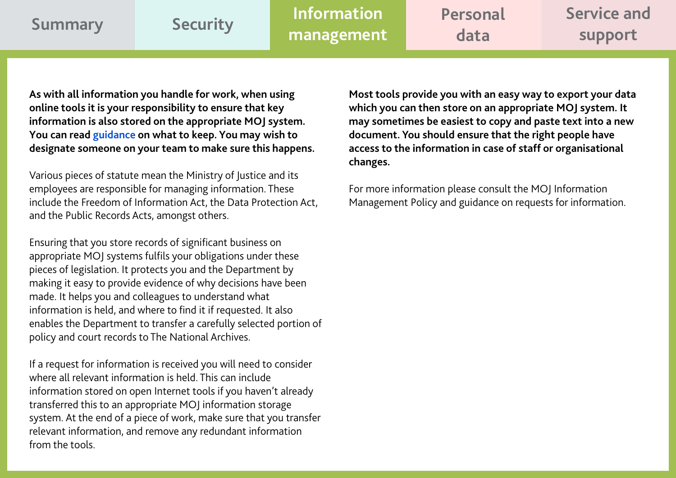<span id="page-2-0"></span>

| <b>Summary</b> | Security | <b>Information</b> | Personal | Service and |
|----------------|----------|--------------------|----------|-------------|
|                |          | management         | data     | support     |

**As with all information you handle for work, when using online tools it is your responsibility to ensure that key information is also stored on the appropriate MOJ system. You can read [guidance](https://www.nationalarchives.gov.uk/information-management/manage-information/policy-process/disposal/) on what to keep. You may wish to designate someone on your team to make sure this happens.** 

Various pieces of statute mean the Ministry of Justice and its employees are responsible for managing information. These include the Freedom of Information Act, the Data Protection Act, and the Public Records Acts, amongst others.

Ensuring that you store records of significant business on appropriate MOJ systems fulfils your obligations under these pieces of legislation. It protects you and the Department by making it easy to provide evidence of why decisions have been made. It helps you and colleagues to understand what information is held, and where to find it if requested. It also enables the Department to transfer a carefully selected portion of policy and court records to The National Archives.

If a request for information is received you will need to consider where all relevant information is held. This can include information stored on open Internet tools if you haven't already transferred this to an appropriate MOJ information storage system. At the end of a piece of work, make sure that you transfer relevant information, and remove any redundant information from the tools.

**Most tools provide you with an easy way to export your data which you can then store on an appropriate MOJ system. It may sometimes be easiest to copy and paste text into a new document. You should ensure that the right people have access to the information in case of staff or organisational changes.** 

For more information please consult the MOJ Information Management Policy and guidance on requests for information.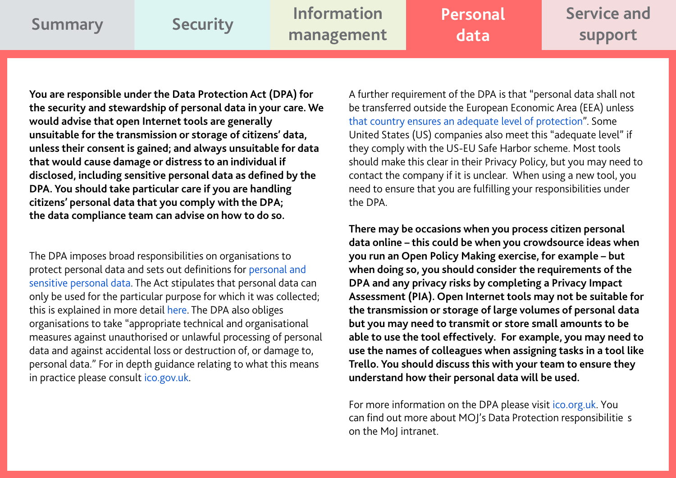<span id="page-3-0"></span>

| <b>Summary</b> | Security | <b>Information</b> | Personal | Service and |
|----------------|----------|--------------------|----------|-------------|
|                |          | management         | data     | support     |
|                |          |                    |          |             |

**You are responsible under the Data Protection Act (DPA) for the security and stewardship of personal data in your care. We would advise that open Internet tools are generally unsuitable for the transmission or storage of citizens' data, unless their consent is gained; and always unsuitable for data that would cause damage or distress to an individual if disclosed, including sensitive personal data as defined by the DPA. You should take particular care if you are handling citizens' personal data that you comply with the DPA; the data compliance team can advise on how to do so.** 

The DPA imposes broad responsibilities on organisations to protect personal data and sets out definitions for [personal and](http://ico.org.uk/for_organisations/data_protection/the_guide/key_definitions#personal-data)  [sensitive personal data.](http://ico.org.uk/for_organisations/data_protection/the_guide/key_definitions#personal-data) The Act stipulates that personal data can only be used for the particular purpose for which it was collected; this is explained in more detail [here.](http://ico.org.uk/for_organisations/data_protection/the_guide/principle_2) The DPA also obliges organisations to take "appropriate technical and organisational measures against unauthorised or unlawful processing of personal data and against accidental loss or destruction of, or damage to, personal data." For in depth guidance relating to what this means in practice please consult [ico.gov.uk.](http://ico.org.uk/for_organisations/data_protection/the_guide/principle_7)

A further requirement of the DPA is that "personal data shall not be transferred outside the European Economic Area (EEA) unless [that country ensures an adequate level of protection"](http://ico.org.uk/for_organisations/data_protection/the_guide/principle_8#adequate). Some United States (US) companies also meet this "adequate level" if they comply with the US-EU Safe Harbor scheme. Most tools should make this clear in their Privacy Policy, but you may need to contact the company if it is unclear. When using a new tool, you need to ensure that you are fulfilling your responsibilities under the DPA.

**There may be occasions when you process citizen personal data online – this could be when you crowdsource ideas when you run an Open Policy Making exercise, for example – but when doing so, you should consider the requirements of the DPA and any privacy risks by completing a Privacy Impact Assessment (PIA). Open Internet tools may not be suitable for the transmission or storage of large volumes of personal data but you may need to transmit or store small amounts to be able to use the tool effectively. For example, you may need to use the names of colleagues when assigning tasks in a tool like Trello. You should discuss this with your team to ensure they understand how their personal data will be used.** 

For more information on the DPA please visi[t ico.org.uk](http://ico.org.uk/). You can find out more about MOJ's Data Protection responsibilitie s on the MoJ intranet.